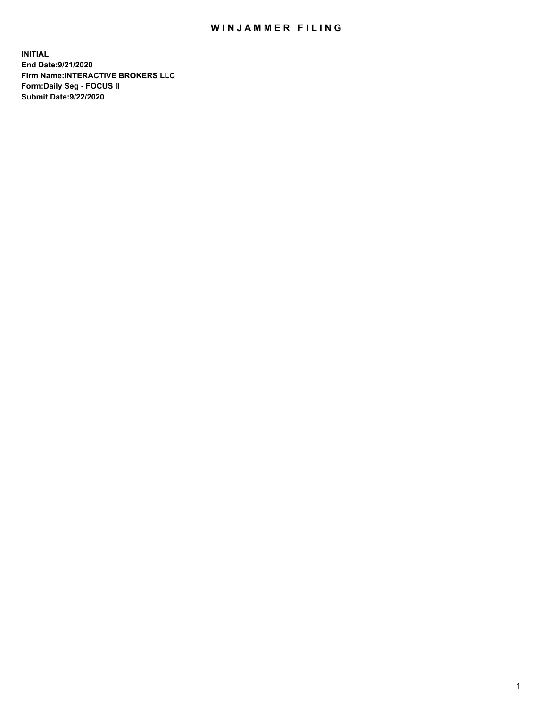## WIN JAMMER FILING

**INITIAL End Date:9/21/2020 Firm Name:INTERACTIVE BROKERS LLC Form:Daily Seg - FOCUS II Submit Date:9/22/2020**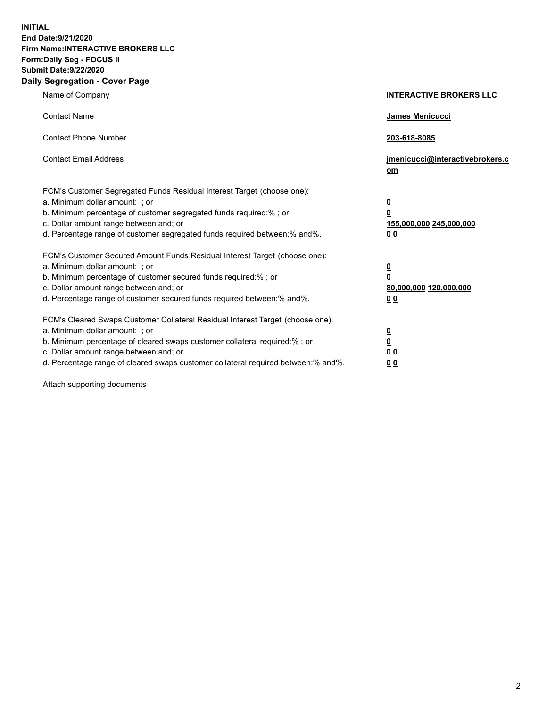**INITIAL End Date:9/21/2020 Firm Name:INTERACTIVE BROKERS LLC Form:Daily Seg - FOCUS II Submit Date:9/22/2020 Daily Segregation - Cover Page**

| Name of Company                                                                                                                                                                                                                                                                                                                | <b>INTERACTIVE BROKERS LLC</b>                                                                  |  |
|--------------------------------------------------------------------------------------------------------------------------------------------------------------------------------------------------------------------------------------------------------------------------------------------------------------------------------|-------------------------------------------------------------------------------------------------|--|
| <b>Contact Name</b>                                                                                                                                                                                                                                                                                                            | <b>James Menicucci</b>                                                                          |  |
| <b>Contact Phone Number</b>                                                                                                                                                                                                                                                                                                    | 203-618-8085                                                                                    |  |
| <b>Contact Email Address</b>                                                                                                                                                                                                                                                                                                   | jmenicucci@interactivebrokers.c<br>om                                                           |  |
| FCM's Customer Segregated Funds Residual Interest Target (choose one):<br>a. Minimum dollar amount: ; or<br>b. Minimum percentage of customer segregated funds required:%; or<br>c. Dollar amount range between: and; or<br>d. Percentage range of customer segregated funds required between:% and%.                          | $\overline{\mathbf{0}}$<br>$\overline{\mathbf{0}}$<br>155,000,000 245,000,000<br>0 <sub>0</sub> |  |
| FCM's Customer Secured Amount Funds Residual Interest Target (choose one):<br>a. Minimum dollar amount: ; or<br>b. Minimum percentage of customer secured funds required:%; or<br>c. Dollar amount range between: and; or<br>d. Percentage range of customer secured funds required between:% and%.                            | <u>0</u><br>$\overline{\mathbf{0}}$<br>80,000,000 120,000,000<br>0 <sub>0</sub>                 |  |
| FCM's Cleared Swaps Customer Collateral Residual Interest Target (choose one):<br>a. Minimum dollar amount: ; or<br>b. Minimum percentage of cleared swaps customer collateral required:% ; or<br>c. Dollar amount range between: and; or<br>d. Percentage range of cleared swaps customer collateral required between:% and%. | $\overline{\mathbf{0}}$<br>$\underline{\mathbf{0}}$<br>0 <sub>0</sub><br>00                     |  |

Attach supporting documents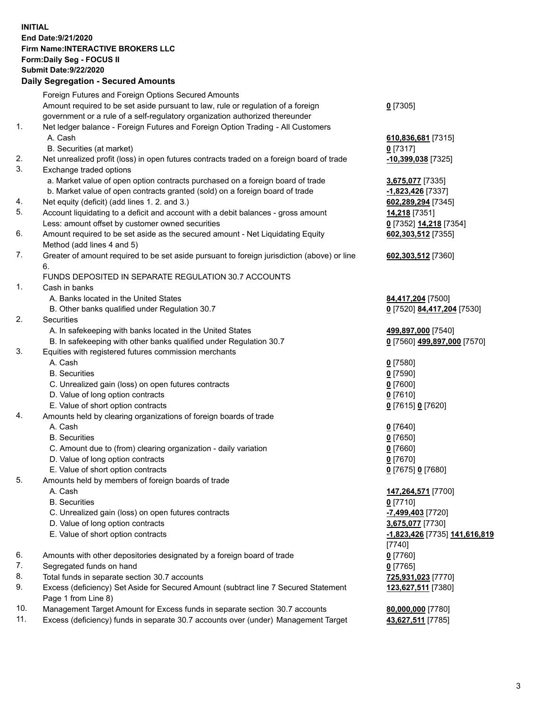**INITIAL End Date:9/21/2020 Firm Name:INTERACTIVE BROKERS LLC Form:Daily Seg - FOCUS II Submit Date:9/22/2020 Daily Segregation - Secured Amounts**

## Foreign Futures and Foreign Options Secured Amounts Amount required to be set aside pursuant to law, rule or regulation of a foreign government or a rule of a self-regulatory organization authorized thereunder **0** [7305] 1. Net ledger balance - Foreign Futures and Foreign Option Trading - All Customers A. Cash **610,836,681** [7315] B. Securities (at market) **0** [7317] 2. Net unrealized profit (loss) in open futures contracts traded on a foreign board of trade **-10,399,038** [7325] 3. Exchange traded options a. Market value of open option contracts purchased on a foreign board of trade **3,675,077** [7335] b. Market value of open contracts granted (sold) on a foreign board of trade **-1,823,426** [7337] 4. Net equity (deficit) (add lines 1. 2. and 3.) **602,289,294** [7345] 5. Account liquidating to a deficit and account with a debit balances - gross amount **14,218** [7351] Less: amount offset by customer owned securities **0** [7352] **14,218** [7354] 6. Amount required to be set aside as the secured amount - Net Liquidating Equity Method (add lines 4 and 5) **602,303,512** [7355] 7. Greater of amount required to be set aside pursuant to foreign jurisdiction (above) or line 6. **602,303,512** [7360] FUNDS DEPOSITED IN SEPARATE REGULATION 30.7 ACCOUNTS 1. Cash in banks A. Banks located in the United States **84,417,204** [7500] B. Other banks qualified under Regulation 30.7 **0** [7520] **84,417,204** [7530] 2. Securities A. In safekeeping with banks located in the United States **499,897,000** [7540] B. In safekeeping with other banks qualified under Regulation 30.7 **0** [7560] **499,897,000** [7570] 3. Equities with registered futures commission merchants A. Cash **0** [7580] B. Securities **0** [7590] C. Unrealized gain (loss) on open futures contracts **0** [7600] D. Value of long option contracts **0** [7610] E. Value of short option contracts **0** [7615] **0** [7620] 4. Amounts held by clearing organizations of foreign boards of trade A. Cash **0** [7640] B. Securities **0** [7650] C. Amount due to (from) clearing organization - daily variation **0** [7660] D. Value of long option contracts **0** [7670] E. Value of short option contracts **0** [7675] **0** [7680] 5. Amounts held by members of foreign boards of trade A. Cash **147,264,571** [7700] B. Securities **0** [7710] C. Unrealized gain (loss) on open futures contracts **-7,499,403** [7720] D. Value of long option contracts **3,675,077** [7730] E. Value of short option contracts **-1,823,426** [7735] **141,616,819** [7740] 6. Amounts with other depositories designated by a foreign board of trade **0** [7760] 7. Segregated funds on hand **0** [7765] 8. Total funds in separate section 30.7 accounts **725,931,023** [7770] 9. Excess (deficiency) Set Aside for Secured Amount (subtract line 7 Secured Statement Page 1 from Line 8) **123,627,511** [7380] 10. Management Target Amount for Excess funds in separate section 30.7 accounts **80,000,000** [7780] 11. Excess (deficiency) funds in separate 30.7 accounts over (under) Management Target **43,627,511** [7785]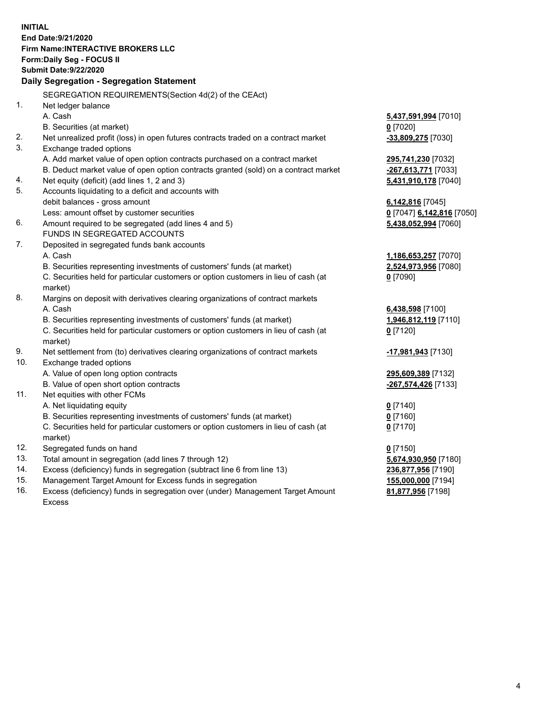**INITIAL End Date:9/21/2020 Firm Name:INTERACTIVE BROKERS LLC Form:Daily Seg - FOCUS II Submit Date:9/22/2020 Daily Segregation - Segregation Statement** SEGREGATION REQUIREMENTS(Section 4d(2) of the CEAct) 1. Net ledger balance A. Cash **5,437,591,994** [7010] B. Securities (at market) **0** [7020] 2. Net unrealized profit (loss) in open futures contracts traded on a contract market **-33,809,275** [7030] 3. Exchange traded options A. Add market value of open option contracts purchased on a contract market **295,741,230** [7032] B. Deduct market value of open option contracts granted (sold) on a contract market **-267,613,771** [7033] 4. Net equity (deficit) (add lines 1, 2 and 3) **5,431,910,178** [7040] 5. Accounts liquidating to a deficit and accounts with debit balances - gross amount **6,142,816** [7045] Less: amount offset by customer securities **0** [7047] **6,142,816** [7050] 6. Amount required to be segregated (add lines 4 and 5) **5,438,052,994** [7060] FUNDS IN SEGREGATED ACCOUNTS 7. Deposited in segregated funds bank accounts A. Cash **1,186,653,257** [7070] B. Securities representing investments of customers' funds (at market) **2,524,973,956** [7080] C. Securities held for particular customers or option customers in lieu of cash (at market) **0** [7090] 8. Margins on deposit with derivatives clearing organizations of contract markets A. Cash **6,438,598** [7100] B. Securities representing investments of customers' funds (at market) **1,946,812,119** [7110] C. Securities held for particular customers or option customers in lieu of cash (at market) **0** [7120] 9. Net settlement from (to) derivatives clearing organizations of contract markets **-17,981,943** [7130] 10. Exchange traded options A. Value of open long option contracts **295,609,389** [7132] B. Value of open short option contracts **-267,574,426** [7133] 11. Net equities with other FCMs A. Net liquidating equity **0** [7140] B. Securities representing investments of customers' funds (at market) **0** [7160] C. Securities held for particular customers or option customers in lieu of cash (at market) **0** [7170] 12. Segregated funds on hand **0** [7150] 13. Total amount in segregation (add lines 7 through 12) **5,674,930,950** [7180] 14. Excess (deficiency) funds in segregation (subtract line 6 from line 13) **236,877,956** [7190] 15. Management Target Amount for Excess funds in segregation **155,000,000** [7194] 16. Excess (deficiency) funds in segregation over (under) Management Target Amount **81,877,956** [7198]

Excess